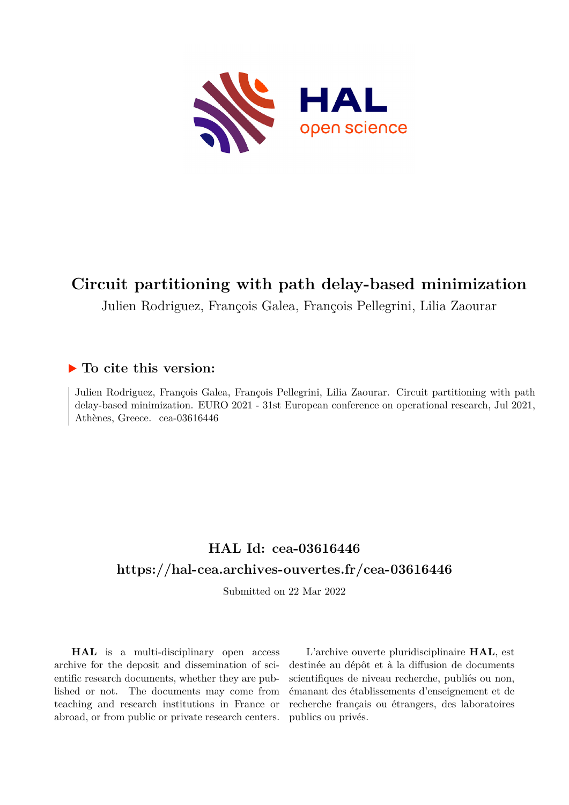

# **Circuit partitioning with path delay-based minimization**

Julien Rodriguez, François Galea, François Pellegrini, Lilia Zaourar

#### **To cite this version:**

Julien Rodriguez, François Galea, François Pellegrini, Lilia Zaourar. Circuit partitioning with path delay-based minimization. EURO 2021 - 31st European conference on operational research, Jul 2021, Athènes, Greece. cea-03616446

## **HAL Id: cea-03616446 <https://hal-cea.archives-ouvertes.fr/cea-03616446>**

Submitted on 22 Mar 2022

**HAL** is a multi-disciplinary open access archive for the deposit and dissemination of scientific research documents, whether they are published or not. The documents may come from teaching and research institutions in France or abroad, or from public or private research centers.

L'archive ouverte pluridisciplinaire **HAL**, est destinée au dépôt et à la diffusion de documents scientifiques de niveau recherche, publiés ou non, émanant des établissements d'enseignement et de recherche français ou étrangers, des laboratoires publics ou privés.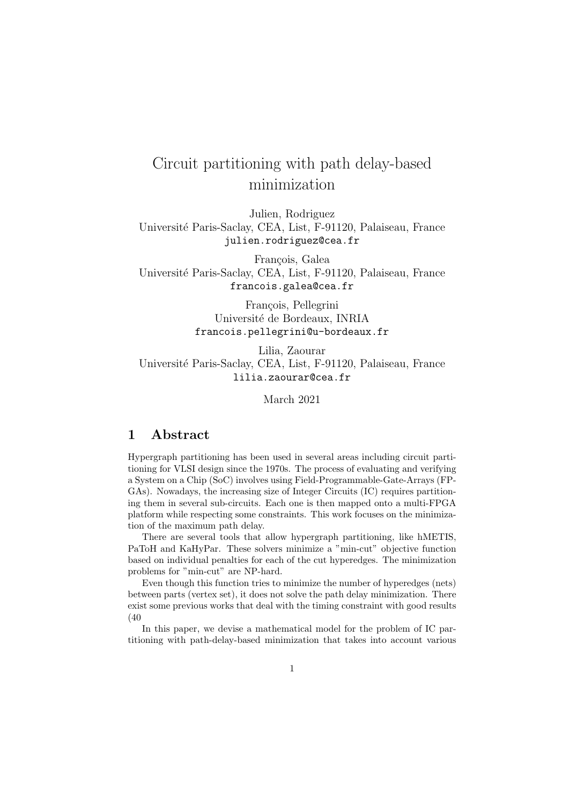## Circuit partitioning with path delay-based minimization

Julien, Rodriguez Universit´e Paris-Saclay, CEA, List, F-91120, Palaiseau, France julien.rodriguez@cea.fr

François, Galea Universit´e Paris-Saclay, CEA, List, F-91120, Palaiseau, France francois.galea@cea.fr

> François, Pellegrini Université de Bordeaux, INRIA francois.pellegrini@u-bordeaux.fr

Lilia, Zaourar Universit´e Paris-Saclay, CEA, List, F-91120, Palaiseau, France lilia.zaourar@cea.fr

March 2021

#### 1 Abstract

Hypergraph partitioning has been used in several areas including circuit partitioning for VLSI design since the 1970s. The process of evaluating and verifying a System on a Chip (SoC) involves using Field-Programmable-Gate-Arrays (FP-GAs). Nowadays, the increasing size of Integer Circuits (IC) requires partitioning them in several sub-circuits. Each one is then mapped onto a multi-FPGA platform while respecting some constraints. This work focuses on the minimization of the maximum path delay.

There are several tools that allow hypergraph partitioning, like hMETIS, PaToH and KaHyPar. These solvers minimize a "min-cut" objective function based on individual penalties for each of the cut hyperedges. The minimization problems for "min-cut" are NP-hard.

Even though this function tries to minimize the number of hyperedges (nets) between parts (vertex set), it does not solve the path delay minimization. There exist some previous works that deal with the timing constraint with good results (40

In this paper, we devise a mathematical model for the problem of IC partitioning with path-delay-based minimization that takes into account various